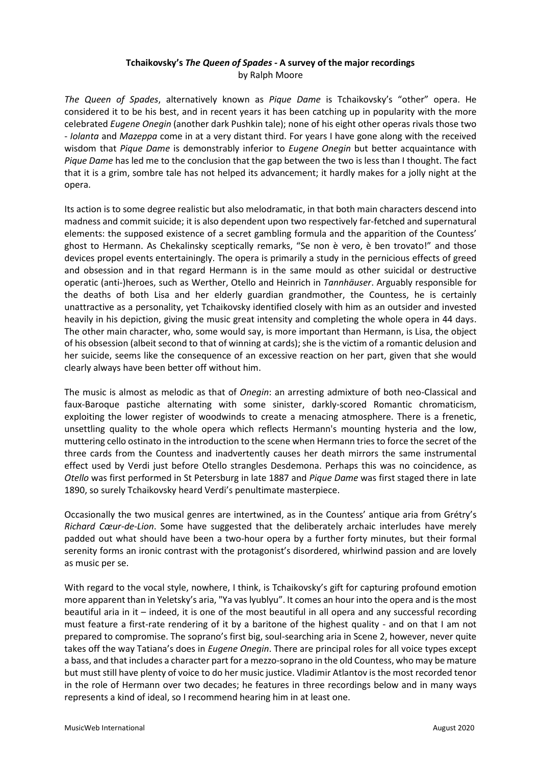# **Tchaikovsky's** *The Queen of Spades -* **A survey of the major recordings** by Ralph Moore

*The Queen of Spades*, alternatively known as *Pique Dame* is Tchaikovsky's "other" opera. He considered it to be his best, and in recent years it has been catching up in popularity with the more celebrated *Eugene Onegin* (another dark Pushkin tale); none of his eight other operas rivals those two - *Iolanta* and *Mazeppa* come in at a very distant third. For years I have gone along with the received wisdom that *Pique Dame* is demonstrably inferior to *Eugene Onegin* but better acquaintance with *Pique Dame* has led me to the conclusion that the gap between the two is less than I thought. The fact that it is a grim, sombre tale has not helped its advancement; it hardly makes for a jolly night at the opera.

Its action is to some degree realistic but also melodramatic, in that both main characters descend into madness and commit suicide; it is also dependent upon two respectively far-fetched and supernatural elements: the supposed existence of a secret gambling formula and the apparition of the Countess' ghost to Hermann. As Chekalinsky sceptically remarks, "Se non è vero, è ben trovato!" and those devices propel events entertainingly. The opera is primarily a study in the pernicious effects of greed and obsession and in that regard Hermann is in the same mould as other suicidal or destructive operatic (anti-)heroes, such as Werther, Otello and Heinrich in *Tannhäuser*. Arguably responsible for the deaths of both Lisa and her elderly guardian grandmother, the Countess, he is certainly unattractive as a personality, yet Tchaikovsky identified closely with him as an outsider and invested heavily in his depiction, giving the music great intensity and completing the whole opera in 44 days. The other main character, who, some would say, is more important than Hermann, is Lisa, the object of his obsession (albeit second to that of winning at cards); she is the victim of a romantic delusion and her suicide, seems like the consequence of an excessive reaction on her part, given that she would clearly always have been better off without him.

The music is almost as melodic as that of *Onegin*: an arresting admixture of both neo-Classical and faux-Baroque pastiche alternating with some sinister, darkly-scored Romantic chromaticism, exploiting the lower register of woodwinds to create a menacing atmosphere. There is a frenetic, unsettling quality to the whole opera which reflects Hermann's mounting hysteria and the low, muttering cello ostinato in the introduction to the scene when Hermann tries to force the secret of the three cards from the Countess and inadvertently causes her death mirrors the same instrumental effect used by Verdi just before Otello strangles Desdemona. Perhaps this was no coincidence, as *Otello* was first performed in St Petersburg in late 1887 and *Pique Dame* was first staged there in late 1890, so surely Tchaikovsky heard Verdi's penultimate masterpiece.

Occasionally the two musical genres are intertwined, as in the Countess' antique aria from Grétry's *Richard Cœur-de-Lion*. Some have suggested that the deliberately archaic interludes have merely padded out what should have been a two-hour opera by a further forty minutes, but their formal serenity forms an ironic contrast with the protagonist's disordered, whirlwind passion and are lovely as music per se.

With regard to the vocal style, nowhere, I think, is Tchaikovsky's gift for capturing profound emotion more apparent than in Yeletsky's aria, "Ya vas lyublyu". It comes an hour into the opera and is the most beautiful aria in it – indeed, it is one of the most beautiful in all opera and any successful recording must feature a first-rate rendering of it by a baritone of the highest quality - and on that I am not prepared to compromise. The soprano's first big, soul-searching aria in Scene 2, however, never quite takes off the way Tatiana's does in *Eugene Onegin*. There are principal roles for all voice types except a bass, and that includes a character part for a mezzo-soprano in the old Countess, who may be mature but must still have plenty of voice to do her music justice. Vladimir Atlantov is the most recorded tenor in the role of Hermann over two decades; he features in three recordings below and in many ways represents a kind of ideal, so I recommend hearing him in at least one.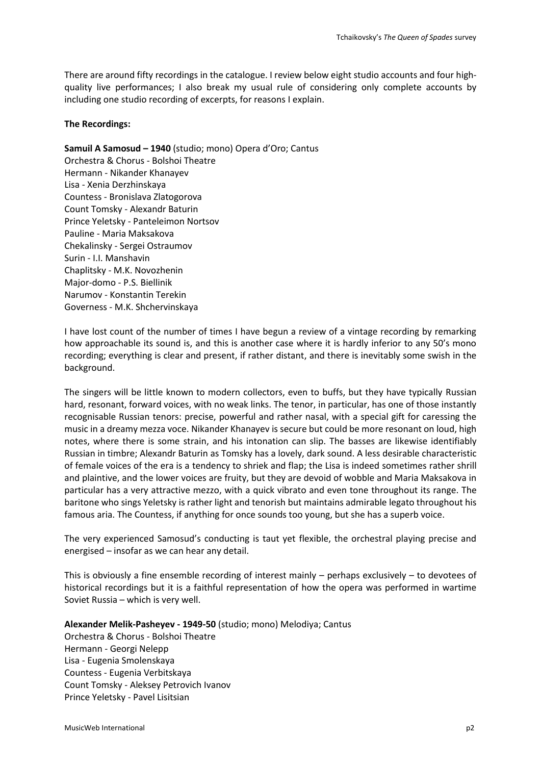There are around fifty recordings in the catalogue. I review below eight studio accounts and four highquality live performances; I also break my usual rule of considering only complete accounts by including one studio recording of excerpts, for reasons I explain.

### **The Recordings:**

**Samuil A Samosud – 1940** (studio; mono) Opera d'Oro; Cantus Orchestra & Chorus - Bolshoi Theatre Hermann - Nikander Khanayev Lisa - Xenia Derzhinskaya Countess - Bronislava Zlatogorova Count Tomsky - Alexandr Baturin Prince Yeletsky - Panteleimon Nortsov Pauline - Maria Maksakova Chekalinsky - Sergei Ostraumov Surin - I.I. Manshavin Chaplitsky - M.K. Novozhenin Major-domo - P.S. Biellinik Narumov - Konstantin Terekin Governess - M.K. Shchervinskaya

I have lost count of the number of times I have begun a review of a vintage recording by remarking how approachable its sound is, and this is another case where it is hardly inferior to any 50's mono recording; everything is clear and present, if rather distant, and there is inevitably some swish in the background.

The singers will be little known to modern collectors, even to buffs, but they have typically Russian hard, resonant, forward voices, with no weak links. The tenor, in particular, has one of those instantly recognisable Russian tenors: precise, powerful and rather nasal, with a special gift for caressing the music in a dreamy mezza voce. Nikander Khanayev is secure but could be more resonant on loud, high notes, where there is some strain, and his intonation can slip. The basses are likewise identifiably Russian in timbre; Alexandr Baturin as Tomsky has a lovely, dark sound. A less desirable characteristic of female voices of the era is a tendency to shriek and flap; the Lisa is indeed sometimes rather shrill and plaintive, and the lower voices are fruity, but they are devoid of wobble and Maria Maksakova in particular has a very attractive mezzo, with a quick vibrato and even tone throughout its range. The baritone who sings Yeletsky is rather light and tenorish but maintains admirable legato throughout his famous aria. The Countess, if anything for once sounds too young, but she has a superb voice.

The very experienced Samosud's conducting is taut yet flexible, the orchestral playing precise and energised – insofar as we can hear any detail.

This is obviously a fine ensemble recording of interest mainly – perhaps exclusively – to devotees of historical recordings but it is a faithful representation of how the opera was performed in wartime Soviet Russia – which is very well.

**Alexander Melik-Pasheyev - 1949-50** (studio; mono) Melodiya; Cantus Orchestra & Chorus - Bolshoi Theatre Hermann - Georgi Nelepp Lisa - Eugenia Smolenskaya Countess - Eugenia Verbitskaya Count Tomsky - Aleksey Petrovich Ivanov Prince Yeletsky - Pavel Lisitsian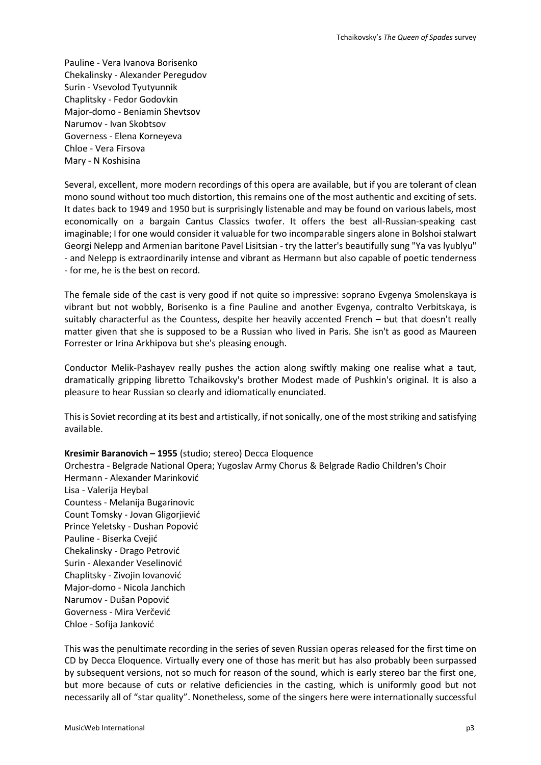Pauline - Vera Ivanova Borisenko Chekalinsky - Alexander Peregudov Surin - Vsevolod Tyutyunnik Chaplitsky - Fedor Godovkin Major-domo - Beniamin Shevtsov Narumov - Ivan Skobtsov Governess - Elena Korneyeva Chloe - Vera Firsova Mary - N Koshisina

Several, excellent, more modern recordings of this opera are available, but if you are tolerant of clean mono sound without too much distortion, this remains one of the most authentic and exciting of sets. It dates back to 1949 and 1950 but is surprisingly listenable and may be found on various labels, most economically on a bargain Cantus Classics twofer. It offers the best all-Russian-speaking cast imaginable; I for one would consider it valuable for two incomparable singers alone in Bolshoi stalwart Georgi Nelepp and Armenian baritone Pavel Lisitsian - try the latter's beautifully sung "Ya vas lyublyu" - and Nelepp is extraordinarily intense and vibrant as Hermann but also capable of poetic tenderness - for me, he is the best on record.

The female side of the cast is very good if not quite so impressive: soprano Evgenya Smolenskaya is vibrant but not wobbly, Borisenko is a fine Pauline and another Evgenya, contralto Verbitskaya, is suitably characterful as the Countess, despite her heavily accented French – but that doesn't really matter given that she is supposed to be a Russian who lived in Paris. She isn't as good as Maureen Forrester or Irina Arkhipova but she's pleasing enough.

Conductor Melik-Pashayev really pushes the action along swiftly making one realise what a taut, dramatically gripping libretto Tchaikovsky's brother Modest made of Pushkin's original. It is also a pleasure to hear Russian so clearly and idiomatically enunciated.

This is Soviet recording at its best and artistically, if not sonically, one of the most striking and satisfying available.

## **Kresimir Baranovich – 1955** (studio; stereo) Decca Eloquence

Orchestra - Belgrade National Opera; Yugoslav Army Chorus & Belgrade Radio Children's Choir Hermann - Alexander Marinković Lisa - Valerija Heybal Countess - Melanija Bugarinovic Count Tomsky - Jovan Gligorjiević Prince Yeletsky - Dushan Popović Pauline - Biserka Cvejić Chekalinsky - Drago Petrović Surin - Alexander Veselinović Chaplitsky - Zivojin Iovanović Major-domo - Nicola Janchich Narumov - Dušan Popović Governess - Mira Verčević Chloe - Sofija Janković

This was the penultimate recording in the series of seven Russian operas released for the first time on CD by Decca Eloquence. Virtually every one of those has merit but has also probably been surpassed by subsequent versions, not so much for reason of the sound, which is early stereo bar the first one, but more because of cuts or relative deficiencies in the casting, which is uniformly good but not necessarily all of "star quality". Nonetheless, some of the singers here were internationally successful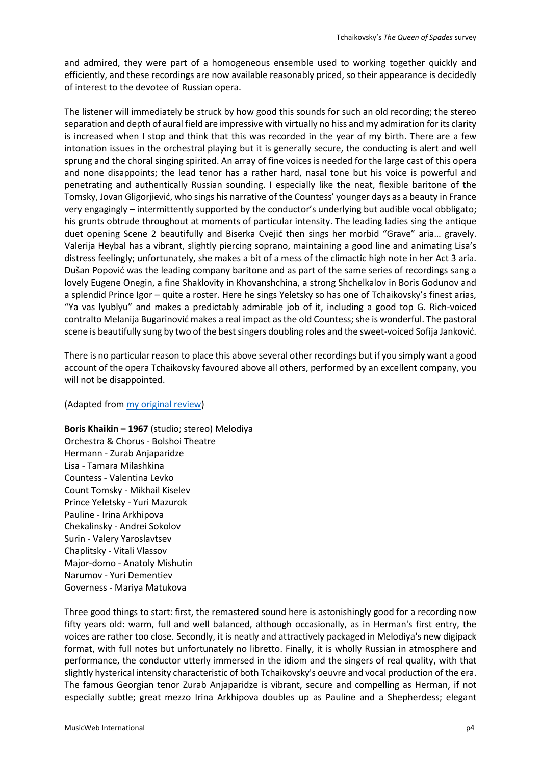and admired, they were part of a homogeneous ensemble used to working together quickly and efficiently, and these recordings are now available reasonably priced, so their appearance is decidedly of interest to the devotee of Russian opera.

The listener will immediately be struck by how good this sounds for such an old recording; the stereo separation and depth of aural field are impressive with virtually no hiss and my admiration for its clarity is increased when I stop and think that this was recorded in the year of my birth. There are a few intonation issues in the orchestral playing but it is generally secure, the conducting is alert and well sprung and the choral singing spirited. An array of fine voices is needed for the large cast of this opera and none disappoints; the lead tenor has a rather hard, nasal tone but his voice is powerful and penetrating and authentically Russian sounding. I especially like the neat, flexible baritone of the Tomsky, Jovan Gligorjiević, who sings his narrative of the Countess' younger days as a beauty in France very engagingly – intermittently supported by the conductor's underlying but audible vocal obbligato; his grunts obtrude throughout at moments of particular intensity. The leading ladies sing the antique duet opening Scene 2 beautifully and Biserka Cvejić then sings her morbid "Grave" aria… gravely. Valerija Heybal has a vibrant, slightly piercing soprano, maintaining a good line and animating Lisa's distress feelingly; unfortunately, she makes a bit of a mess of the climactic high note in her Act 3 aria. Dušan Popović was the leading company baritone and as part of the same series of recordings sang a lovely Eugene Onegin, a fine Shaklovity in Khovanshchina, a strong Shchelkalov in Boris Godunov and a splendid Prince Igor – quite a roster. Here he sings Yeletsky so has one of Tchaikovsky's finest arias, "Ya vas lyublyu" and makes a predictably admirable job of it, including a good top G. Rich-voiced contralto Melanija Bugarinović makes a real impact as the old Countess; she is wonderful. The pastoral scene is beautifully sung by two of the best singers doubling roles and the sweet-voiced Sofija Janković.

There is no particular reason to place this above several other recordings but if you simply want a good account of the opera Tchaikovsky favoured above all others, performed by an excellent company, you will not be disappointed.

### (Adapted from [my original review\)](http://www.musicweb-international.com/classrev/2019/Jan/Tchaikovsky_queen_4826903.htm)

**Boris Khaikin – 1967** (studio; stereo) Melodiya Orchestra & Chorus - Bolshoi Theatre Hermann - Zurab Anjaparidze Lisa - Tamara Milashkina Countess - Valentina Levko Count Tomsky - Mikhail Kiselev Prince Yeletsky - Yuri Mazurok Pauline - Irina Arkhipova Chekalinsky - Andrei Sokolov Surin - Valery Yaroslavtsev Chaplitsky - Vitali Vlassov Major-domo - Anatoly Mishutin Narumov - Yuri Dementiev Governess - Mariya Matukova

Three good things to start: first, the remastered sound here is astonishingly good for a recording now fifty years old: warm, full and well balanced, although occasionally, as in Herman's first entry, the voices are rather too close. Secondly, it is neatly and attractively packaged in Melodiya's new digipack format, with full notes but unfortunately no libretto. Finally, it is wholly Russian in atmosphere and performance, the conductor utterly immersed in the idiom and the singers of real quality, with that slightly hysterical intensity characteristic of both Tchaikovsky's oeuvre and vocal production of the era. The famous Georgian tenor Zurab Anjaparidze is vibrant, secure and compelling as Herman, if not especially subtle; great mezzo Irina Arkhipova doubles up as Pauline and a Shepherdess; elegant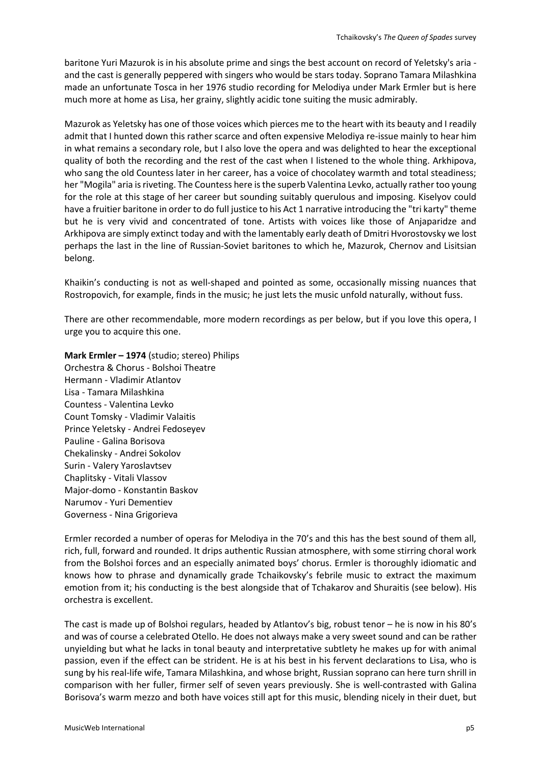baritone Yuri Mazurok is in his absolute prime and sings the best account on record of Yeletsky's aria and the cast is generally peppered with singers who would be stars today. Soprano Tamara Milashkina made an unfortunate Tosca in her 1976 studio recording for Melodiya under Mark Ermler but is here much more at home as Lisa, her grainy, slightly acidic tone suiting the music admirably.

Mazurok as Yeletsky has one of those voices which pierces me to the heart with its beauty and I readily admit that I hunted down this rather scarce and often expensive Melodiya re-issue mainly to hear him in what remains a secondary role, but I also love the opera and was delighted to hear the exceptional quality of both the recording and the rest of the cast when I listened to the whole thing. Arkhipova, who sang the old Countess later in her career, has a voice of chocolatey warmth and total steadiness; her "Mogila" aria is riveting. The Countess here is the superb Valentina Levko, actually rather too young for the role at this stage of her career but sounding suitably querulous and imposing. Kiselyov could have a fruitier baritone in order to do full justice to his Act 1 narrative introducing the "tri karty" theme but he is very vivid and concentrated of tone. Artists with voices like those of Anjaparidze and Arkhipova are simply extinct today and with the lamentably early death of Dmitri Hvorostovsky we lost perhaps the last in the line of Russian-Soviet baritones to which he, Mazurok, Chernov and Lisitsian belong.

Khaikin's conducting is not as well-shaped and pointed as some, occasionally missing nuances that Rostropovich, for example, finds in the music; he just lets the music unfold naturally, without fuss.

There are other recommendable, more modern recordings as per below, but if you love this opera, I urge you to acquire this one.

**Mark Ermler – 1974** (studio; stereo) Philips Orchestra & Chorus - Bolshoi Theatre Hermann - Vladimir Atlantov Lisa - Tamara Milashkina Countess - Valentina Levko Count Tomsky - Vladimir Valaitis Prince Yeletsky - Andrei Fedoseyev Pauline - Galina Borisova Chekalinsky - Andrei Sokolov Surin - Valery Yaroslavtsev Chaplitsky - Vitali Vlassov Major-domo - Konstantin Baskov Narumov - Yuri Dementiev Governess - Nina Grigorieva

Ermler recorded a number of operas for Melodiya in the 70's and this has the best sound of them all, rich, full, forward and rounded. It drips authentic Russian atmosphere, with some stirring choral work from the Bolshoi forces and an especially animated boys' chorus. Ermler is thoroughly idiomatic and knows how to phrase and dynamically grade Tchaikovsky's febrile music to extract the maximum emotion from it; his conducting is the best alongside that of Tchakarov and Shuraitis (see below). His orchestra is excellent.

The cast is made up of Bolshoi regulars, headed by Atlantov's big, robust tenor – he is now in his 80's and was of course a celebrated Otello. He does not always make a very sweet sound and can be rather unyielding but what he lacks in tonal beauty and interpretative subtlety he makes up for with animal passion, even if the effect can be strident. He is at his best in his fervent declarations to Lisa, who is sung by his real-life wife, Tamara Milashkina, and whose bright, Russian soprano can here turn shrill in comparison with her fuller, firmer self of seven years previously. She is well-contrasted with Galina Borisova's warm mezzo and both have voices still apt for this music, blending nicely in their duet, but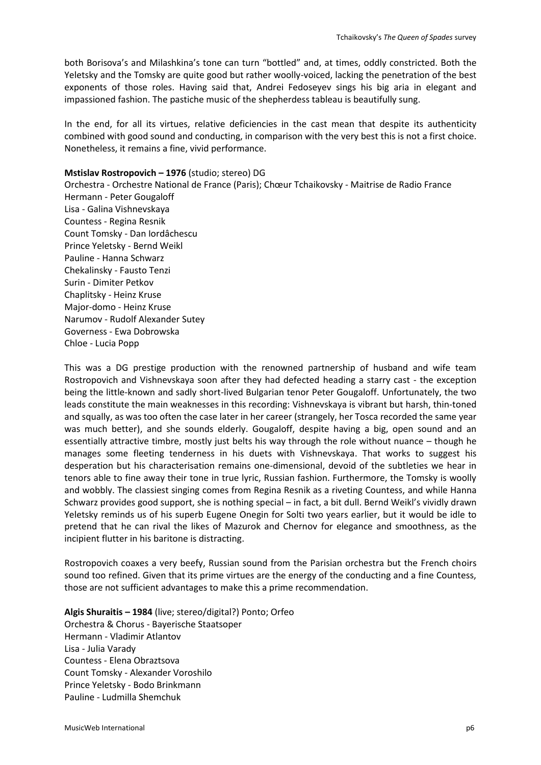both Borisova's and Milashkina's tone can turn "bottled" and, at times, oddly constricted. Both the Yeletsky and the Tomsky are quite good but rather woolly-voiced, lacking the penetration of the best exponents of those roles. Having said that, Andrei Fedoseyev sings his big aria in elegant and impassioned fashion. The pastiche music of the shepherdess tableau is beautifully sung.

In the end, for all its virtues, relative deficiencies in the cast mean that despite its authenticity combined with good sound and conducting, in comparison with the very best this is not a first choice. Nonetheless, it remains a fine, vivid performance.

### **Mstislav Rostropovich – 1976** (studio; stereo) DG

Orchestra - Orchestre National de France (Paris); Chœur Tchaikovsky - Maitrise de Radio France Hermann - Peter Gougaloff Lisa - Galina Vishnevskaya Countess - Regina Resnik Count Tomsky - Dan Iordâchescu Prince Yeletsky - Bernd Weikl Pauline - Hanna Schwarz Chekalinsky - Fausto Tenzi Surin - Dimiter Petkov Chaplitsky - Heinz Kruse Major-domo - Heinz Kruse Narumov - Rudolf Alexander Sutey Governess - Ewa Dobrowska Chloe - Lucia Popp

This was a DG prestige production with the renowned partnership of husband and wife team Rostropovich and Vishnevskaya soon after they had defected heading a starry cast - the exception being the little-known and sadly short-lived Bulgarian tenor Peter Gougaloff. Unfortunately, the two leads constitute the main weaknesses in this recording: Vishnevskaya is vibrant but harsh, thin-toned and squally, as was too often the case later in her career (strangely, her Tosca recorded the same year was much better), and she sounds elderly. Gougaloff, despite having a big, open sound and an essentially attractive timbre, mostly just belts his way through the role without nuance – though he manages some fleeting tenderness in his duets with Vishnevskaya. That works to suggest his desperation but his characterisation remains one-dimensional, devoid of the subtleties we hear in tenors able to fine away their tone in true lyric, Russian fashion. Furthermore, the Tomsky is woolly and wobbly. The classiest singing comes from Regina Resnik as a riveting Countess, and while Hanna Schwarz provides good support, she is nothing special – in fact, a bit dull. Bernd Weikl's vividly drawn Yeletsky reminds us of his superb Eugene Onegin for Solti two years earlier, but it would be idle to pretend that he can rival the likes of Mazurok and Chernov for elegance and smoothness, as the incipient flutter in his baritone is distracting.

Rostropovich coaxes a very beefy, Russian sound from the Parisian orchestra but the French choirs sound too refined. Given that its prime virtues are the energy of the conducting and a fine Countess, those are not sufficient advantages to make this a prime recommendation.

**Algis Shuraitis – 1984** (live; stereo/digital?) Ponto; Orfeo Orchestra & Chorus - Bayerische Staatsoper Hermann - Vladimir Atlantov Lisa - Julia Varady Countess - Elena Obraztsova Count Tomsky - Alexander Voroshilo Prince Yeletsky - Bodo Brinkmann Pauline - Ludmilla Shemchuk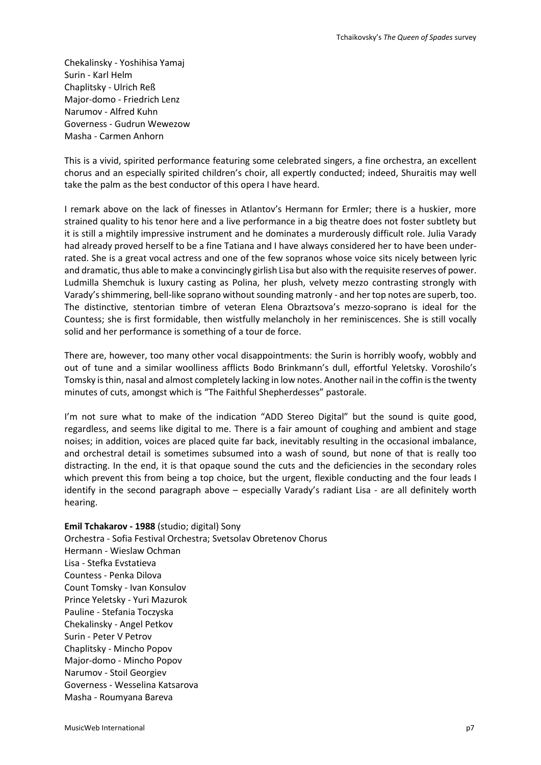Chekalinsky - Yoshihisa Yamaj Surin - Karl Helm Chaplitsky - Ulrich Reß Major-domo - Friedrich Lenz Narumov - Alfred Kuhn Governess - Gudrun Wewezow Masha - Carmen Anhorn

This is a vivid, spirited performance featuring some celebrated singers, a fine orchestra, an excellent chorus and an especially spirited children's choir, all expertly conducted; indeed, Shuraitis may well take the palm as the best conductor of this opera I have heard.

I remark above on the lack of finesses in Atlantov's Hermann for Ermler; there is a huskier, more strained quality to his tenor here and a live performance in a big theatre does not foster subtlety but it is still a mightily impressive instrument and he dominates a murderously difficult role. Julia Varady had already proved herself to be a fine Tatiana and I have always considered her to have been underrated. She is a great vocal actress and one of the few sopranos whose voice sits nicely between lyric and dramatic, thus able to make a convincingly girlish Lisa but also with the requisite reserves of power. Ludmilla Shemchuk is luxury casting as Polina, her plush, velvety mezzo contrasting strongly with Varady's shimmering, bell-like soprano without sounding matronly - and her top notes are superb, too. The distinctive, stentorian timbre of veteran Elena Obraztsova's mezzo-soprano is ideal for the Countess; she is first formidable, then wistfully melancholy in her reminiscences. She is still vocally solid and her performance is something of a tour de force.

There are, however, too many other vocal disappointments: the Surin is horribly woofy, wobbly and out of tune and a similar woolliness afflicts Bodo Brinkmann's dull, effortful Yeletsky. Voroshilo's Tomsky is thin, nasal and almost completely lacking in low notes. Another nail in the coffin is the twenty minutes of cuts, amongst which is "The Faithful Shepherdesses" pastorale.

I'm not sure what to make of the indication "ADD Stereo Digital" but the sound is quite good, regardless, and seems like digital to me. There is a fair amount of coughing and ambient and stage noises; in addition, voices are placed quite far back, inevitably resulting in the occasional imbalance, and orchestral detail is sometimes subsumed into a wash of sound, but none of that is really too distracting. In the end, it is that opaque sound the cuts and the deficiencies in the secondary roles which prevent this from being a top choice, but the urgent, flexible conducting and the four leads I identify in the second paragraph above – especially Varady's radiant Lisa - are all definitely worth hearing.

### **Emil Tchakarov - 1988** (studio; digital) Sony

Orchestra - Sofia Festival Orchestra; Svetsolav Obretenov Chorus Hermann - Wieslaw Ochman Lisa - Stefka Evstatieva Countess - Penka Dilova Count Tomsky - Ivan Konsulov Prince Yeletsky - Yuri Mazurok Pauline - Stefania Toczyska Chekalinsky - Angel Petkov Surin - Peter V Petrov Chaplitsky - Mincho Popov Major-domo - Mincho Popov Narumov - Stoil Georgiev Governess - Wesselina Katsarova Masha - Roumyana Bareva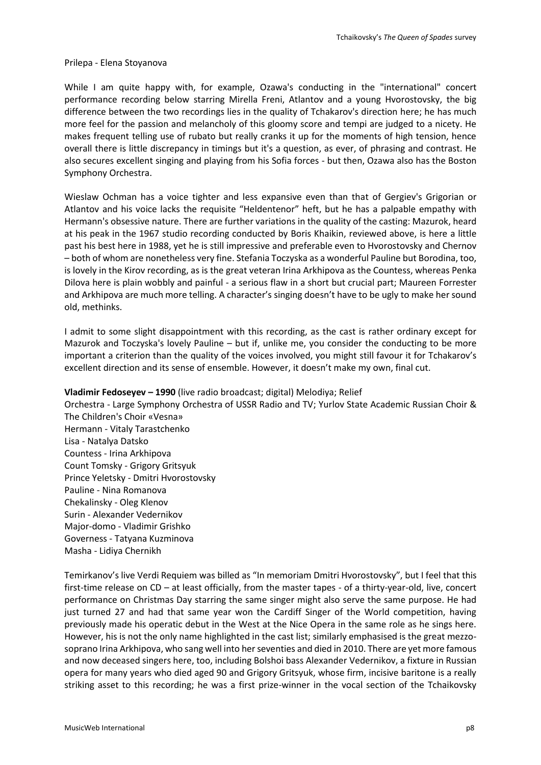#### Prilepa - Elena Stoyanova

While I am quite happy with, for example, Ozawa's conducting in the "international" concert performance recording below starring Mirella Freni, Atlantov and a young Hvorostovsky, the big difference between the two recordings lies in the quality of Tchakarov's direction here; he has much more feel for the passion and melancholy of this gloomy score and tempi are judged to a nicety. He makes frequent telling use of rubato but really cranks it up for the moments of high tension, hence overall there is little discrepancy in timings but it's a question, as ever, of phrasing and contrast. He also secures excellent singing and playing from his Sofia forces - but then, Ozawa also has the Boston Symphony Orchestra.

Wieslaw Ochman has a voice tighter and less expansive even than that of Gergiev's Grigorian or Atlantov and his voice lacks the requisite "Heldentenor" heft, but he has a palpable empathy with Hermann's obsessive nature. There are further variations in the quality of the casting: Mazurok, heard at his peak in the 1967 studio recording conducted by Boris Khaikin, reviewed above, is here a little past his best here in 1988, yet he is still impressive and preferable even to Hvorostovsky and Chernov – both of whom are nonetheless very fine. Stefania Toczyska as a wonderful Pauline but Borodina, too, is lovely in the Kirov recording, as is the great veteran Irina Arkhipova as the Countess, whereas Penka Dilova here is plain wobbly and painful - a serious flaw in a short but crucial part; Maureen Forrester and Arkhipova are much more telling. A character's singing doesn't have to be ugly to make her sound old, methinks.

I admit to some slight disappointment with this recording, as the cast is rather ordinary except for Mazurok and Toczyska's lovely Pauline – but if, unlike me, you consider the conducting to be more important a criterion than the quality of the voices involved, you might still favour it for Tchakarov's excellent direction and its sense of ensemble. However, it doesn't make my own, final cut.

### **Vladimir Fedoseyev – 1990** (live radio broadcast; digital) Melodiya; Relief

Orchestra - Large Symphony Orchestra of USSR Radio and TV; Yurlov State Academic Russian Choir & The Children's Choir «Vesna» Hermann - Vitaly Tarastchenko Lisa - Natalya Datsko Countess - Irina Arkhipova Count Tomsky - Grigory Gritsyuk Prince Yeletsky - Dmitri Hvorostovsky Pauline - Nina Romanova Chekalinsky - Oleg Klenov Surin - Alexander Vedernikov Major-domo - Vladimir Grishko Governess - Tatyana Kuzminova Masha - Lidiya Chernikh

Temirkanov's live Verdi Requiem was billed as "In memoriam Dmitri Hvorostovsky", but I feel that this first-time release on CD – at least officially, from the master tapes - of a thirty-year-old, live, concert performance on Christmas Day starring the same singer might also serve the same purpose. He had just turned 27 and had that same year won the Cardiff Singer of the World competition, having previously made his operatic debut in the West at the Nice Opera in the same role as he sings here. However, his is not the only name highlighted in the cast list; similarly emphasised is the great mezzosoprano Irina Arkhipova, who sang well into her seventies and died in 2010. There are yet more famous and now deceased singers here, too, including Bolshoi bass Alexander Vedernikov, a fixture in Russian opera for many years who died aged 90 and Grigory Gritsyuk, whose firm, incisive baritone is a really striking asset to this recording; he was a first prize-winner in the vocal section of the Tchaikovsky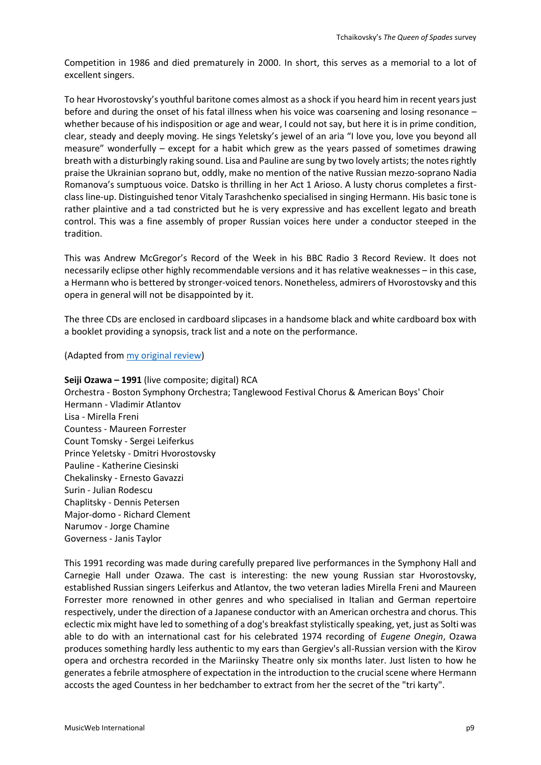Competition in 1986 and died prematurely in 2000. In short, this serves as a memorial to a lot of excellent singers.

To hear Hvorostovsky's youthful baritone comes almost as a shock if you heard him in recent years just before and during the onset of his fatal illness when his voice was coarsening and losing resonance – whether because of his indisposition or age and wear, I could not say, but here it is in prime condition, clear, steady and deeply moving. He sings Yeletsky's jewel of an aria "I love you, love you beyond all measure" wonderfully – except for a habit which grew as the years passed of sometimes drawing breath with a disturbingly raking sound. Lisa and Pauline are sung by two lovely artists; the notes rightly praise the Ukrainian soprano but, oddly, make no mention of the native Russian mezzo-soprano Nadia Romanova's sumptuous voice. Datsko is thrilling in her Act 1 Arioso. A lusty chorus completes a firstclass line-up. Distinguished tenor Vitaly Tarashchenko specialised in singing Hermann. His basic tone is rather plaintive and a tad constricted but he is very expressive and has excellent legato and breath control. This was a fine assembly of proper Russian voices here under a conductor steeped in the tradition.

This was Andrew McGregor's Record of the Week in his BBC Radio 3 Record Review. It does not necessarily eclipse other highly recommendable versions and it has relative weaknesses – in this case, a Hermann who is bettered by stronger-voiced tenors. Nonetheless, admirers of Hvorostovsky and this opera in general will not be disappointed by it.

The three CDs are enclosed in cardboard slipcases in a handsome black and white cardboard box with a booklet providing a synopsis, track list and a note on the performance.

### (Adapted from [my original review\)](http://www.musicweb-international.com/classrev/2019/Mar/Tchaikovsky_queen_MELCD1002549.htm)

**Seiji Ozawa – 1991** (live composite; digital) RCA Orchestra - Boston Symphony Orchestra; Tanglewood Festival Chorus & American Boys' Choir Hermann - Vladimir Atlantov Lisa - Mirella Freni Countess - Maureen Forrester Count Tomsky - Sergei Leiferkus Prince Yeletsky - Dmitri Hvorostovsky Pauline - Katherine Ciesinski Chekalinsky - Ernesto Gavazzi Surin - Julian Rodescu Chaplitsky - Dennis Petersen Major-domo - Richard Clement Narumov - Jorge Chamine Governess - Janis Taylor

This 1991 recording was made during carefully prepared live performances in the Symphony Hall and Carnegie Hall under Ozawa. The cast is interesting: the new young Russian star Hvorostovsky, established Russian singers Leiferkus and Atlantov, the two veteran ladies Mirella Freni and Maureen Forrester more renowned in other genres and who specialised in Italian and German repertoire respectively, under the direction of a Japanese conductor with an American orchestra and chorus. This eclectic mix might have led to something of a dog's breakfast stylistically speaking, yet, just as Solti was able to do with an international cast for his celebrated 1974 recording of *Eugene Onegin*, Ozawa produces something hardly less authentic to my ears than Gergiev's all-Russian version with the Kirov opera and orchestra recorded in the Mariinsky Theatre only six months later. Just listen to how he generates a febrile atmosphere of expectation in the introduction to the crucial scene where Hermann accosts the aged Countess in her bedchamber to extract from her the secret of the "tri karty".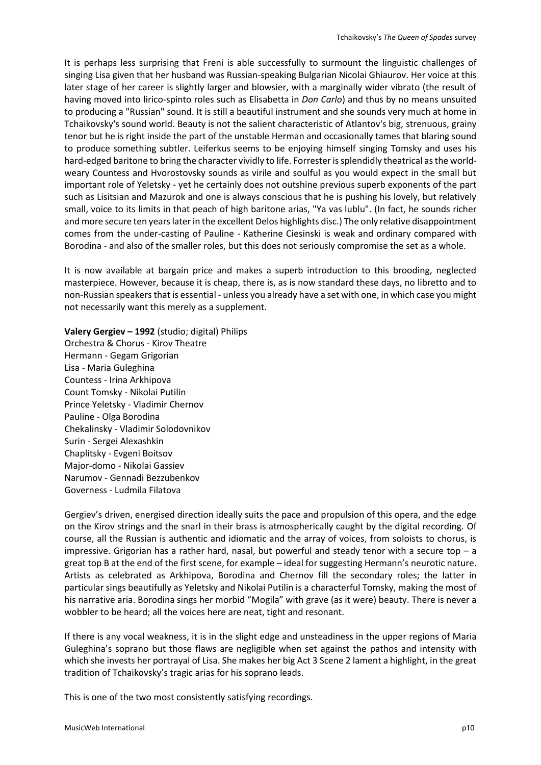It is perhaps less surprising that Freni is able successfully to surmount the linguistic challenges of singing Lisa given that her husband was Russian-speaking Bulgarian Nicolai Ghiaurov. Her voice at this later stage of her career is slightly larger and blowsier, with a marginally wider vibrato (the result of having moved into lirico-spinto roles such as Elisabetta in *Don Carlo*) and thus by no means unsuited to producing a "Russian" sound. It is still a beautiful instrument and she sounds very much at home in Tchaikovsky's sound world. Beauty is not the salient characteristic of Atlantov's big, strenuous, grainy tenor but he is right inside the part of the unstable Herman and occasionally tames that blaring sound to produce something subtler. Leiferkus seems to be enjoying himself singing Tomsky and uses his hard-edged baritone to bring the character vividly to life. Forrester is splendidly theatrical as the worldweary Countess and Hvorostovsky sounds as virile and soulful as you would expect in the small but important role of Yeletsky - yet he certainly does not outshine previous superb exponents of the part such as Lisitsian and Mazurok and one is always conscious that he is pushing his lovely, but relatively small, voice to its limits in that peach of high baritone arias, "Ya vas lublu". (In fact, he sounds richer and more secure ten years later in the excellent Delos highlights disc.) The only relative disappointment comes from the under-casting of Pauline - Katherine Ciesinski is weak and ordinary compared with Borodina - and also of the smaller roles, but this does not seriously compromise the set as a whole.

It is now available at bargain price and makes a superb introduction to this brooding, neglected masterpiece. However, because it is cheap, there is, as is now standard these days, no libretto and to non-Russian speakers that is essential - unless you already have a set with one, in which case you might not necessarily want this merely as a supplement.

**Valery Gergiev – 1992** (studio; digital) Philips Orchestra & Chorus - Kirov Theatre Hermann - Gegam Grigorian Lisa - Maria Guleghina Countess - Irina Arkhipova Count Tomsky - Nikolai Putilin Prince Yeletsky - Vladimir Chernov Pauline - Olga Borodina Chekalinsky - Vladimir Solodovnikov Surin - Sergei Alexashkin Chaplitsky - Evgeni Boitsov Major-domo - Nikolai Gassiev Narumov - Gennadi Bezzubenkov Governess - Ludmila Filatova

Gergiev's driven, energised direction ideally suits the pace and propulsion of this opera, and the edge on the Kirov strings and the snarl in their brass is atmospherically caught by the digital recording. Of course, all the Russian is authentic and idiomatic and the array of voices, from soloists to chorus, is impressive. Grigorian has a rather hard, nasal, but powerful and steady tenor with a secure top  $-$  a great top B at the end of the first scene, for example – ideal for suggesting Hermann's neurotic nature. Artists as celebrated as Arkhipova, Borodina and Chernov fill the secondary roles; the latter in particular sings beautifully as Yeletsky and Nikolai Putilin is a characterful Tomsky, making the most of his narrative aria. Borodina sings her morbid "Mogila" with grave (as it were) beauty. There is never a wobbler to be heard; all the voices here are neat, tight and resonant.

If there is any vocal weakness, it is in the slight edge and unsteadiness in the upper regions of Maria Guleghina's soprano but those flaws are negligible when set against the pathos and intensity with which she invests her portrayal of Lisa. She makes her big Act 3 Scene 2 lament a highlight, in the great tradition of Tchaikovsky's tragic arias for his soprano leads.

This is one of the two most consistently satisfying recordings.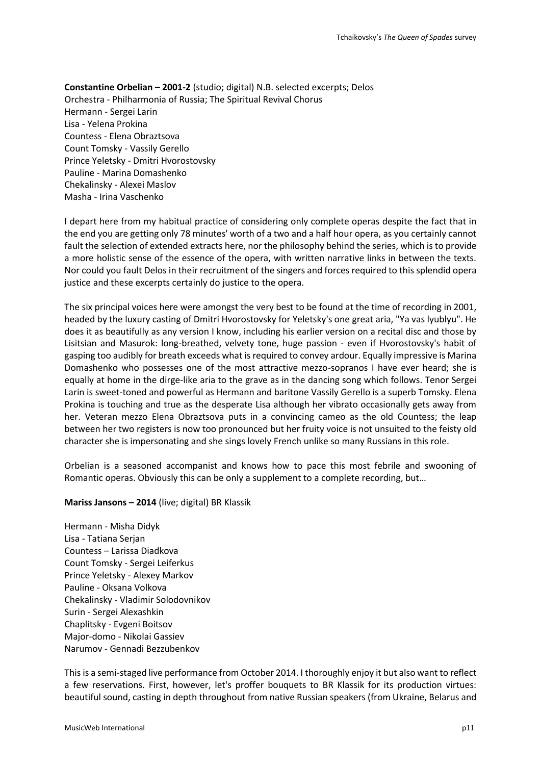**Constantine Orbelian – 2001-2** (studio; digital) N.B. selected excerpts; Delos Orchestra - Philharmonia of Russia; The Spiritual Revival Chorus Hermann - Sergei Larin Lisa - Yelena Prokina Countess - Elena Obraztsova Count Tomsky - Vassily Gerello Prince Yeletsky - Dmitri Hvorostovsky Pauline - Marina Domashenko Chekalinsky - Alexei Maslov Masha - Irina Vaschenko

I depart here from my habitual practice of considering only complete operas despite the fact that in the end you are getting only 78 minutes' worth of a two and a half hour opera, as you certainly cannot fault the selection of extended extracts here, nor the philosophy behind the series, which is to provide a more holistic sense of the essence of the opera, with written narrative links in between the texts. Nor could you fault Delos in their recruitment of the singers and forces required to this splendid opera justice and these excerpts certainly do justice to the opera.

The six principal voices here were amongst the very best to be found at the time of recording in 2001, headed by the luxury casting of Dmitri Hvorostovsky for Yeletsky's one great aria, "Ya vas lyublyu". He does it as beautifully as any version I know, including his earlier version on a recital disc and those by Lisitsian and Masurok: long-breathed, velvety tone, huge passion - even if Hvorostovsky's habit of gasping too audibly for breath exceeds what is required to convey ardour. Equally impressive is Marina Domashenko who possesses one of the most attractive mezzo-sopranos I have ever heard; she is equally at home in the dirge-like aria to the grave as in the dancing song which follows. Tenor Sergei Larin is sweet-toned and powerful as Hermann and baritone Vassily Gerello is a superb Tomsky. Elena Prokina is touching and true as the desperate Lisa although her vibrato occasionally gets away from her. Veteran mezzo Elena Obraztsova puts in a convincing cameo as the old Countess; the leap between her two registers is now too pronounced but her fruity voice is not unsuited to the feisty old character she is impersonating and she sings lovely French unlike so many Russians in this role.

Orbelian is a seasoned accompanist and knows how to pace this most febrile and swooning of Romantic operas. Obviously this can be only a supplement to a complete recording, but…

**Mariss Jansons – 2014** (live; digital) BR Klassik

Hermann - Misha Didyk Lisa - Tatiana Serjan Countess – Larissa Diadkova Count Tomsky - Sergei Leiferkus Prince Yeletsky - Alexey Markov Pauline - Oksana Volkova Chekalinsky - Vladimir Solodovnikov Surin - Sergei Alexashkin Chaplitsky - Evgeni Boitsov Major-domo - Nikolai Gassiev Narumov - Gennadi Bezzubenkov

This is a semi-staged live performance from October 2014. I thoroughly enjoy it but also want to reflect a few reservations. First, however, let's proffer bouquets to BR Klassik for its production virtues: beautiful sound, casting in depth throughout from native Russian speakers (from Ukraine, Belarus and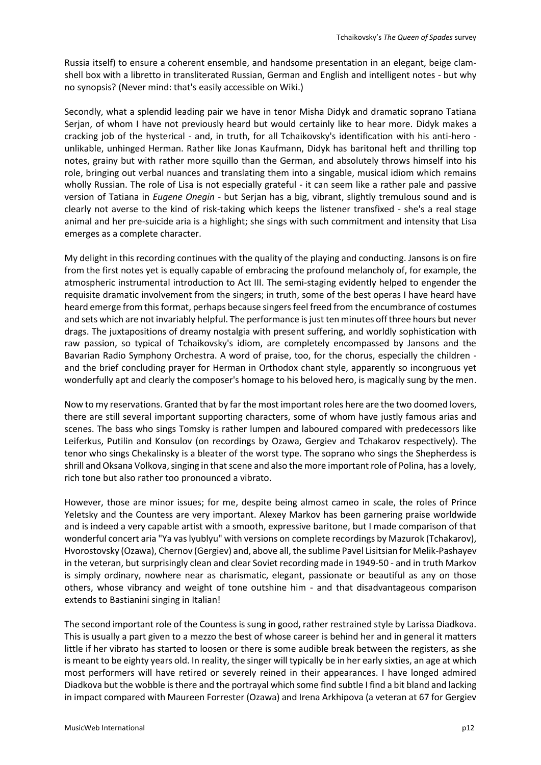Russia itself) to ensure a coherent ensemble, and handsome presentation in an elegant, beige clamshell box with a libretto in transliterated Russian, German and English and intelligent notes - but why no synopsis? (Never mind: that's easily accessible on Wiki.)

Secondly, what a splendid leading pair we have in tenor Misha Didyk and dramatic soprano Tatiana Serjan, of whom I have not previously heard but would certainly like to hear more. Didyk makes a cracking job of the hysterical - and, in truth, for all Tchaikovsky's identification with his anti-hero unlikable, unhinged Herman. Rather like Jonas Kaufmann, Didyk has baritonal heft and thrilling top notes, grainy but with rather more squillo than the German, and absolutely throws himself into his role, bringing out verbal nuances and translating them into a singable, musical idiom which remains wholly Russian. The role of Lisa is not especially grateful - it can seem like a rather pale and passive version of Tatiana in *Eugene Onegin* - but Serjan has a big, vibrant, slightly tremulous sound and is clearly not averse to the kind of risk-taking which keeps the listener transfixed - she's a real stage animal and her pre-suicide aria is a highlight; she sings with such commitment and intensity that Lisa emerges as a complete character.

My delight in this recording continues with the quality of the playing and conducting. Jansons is on fire from the first notes yet is equally capable of embracing the profound melancholy of, for example, the atmospheric instrumental introduction to Act III. The semi-staging evidently helped to engender the requisite dramatic involvement from the singers; in truth, some of the best operas I have heard have heard emerge from this format, perhaps because singers feel freed from the encumbrance of costumes and sets which are not invariably helpful. The performance is just ten minutes off three hours but never drags. The juxtapositions of dreamy nostalgia with present suffering, and worldly sophistication with raw passion, so typical of Tchaikovsky's idiom, are completely encompassed by Jansons and the Bavarian Radio Symphony Orchestra. A word of praise, too, for the chorus, especially the children and the brief concluding prayer for Herman in Orthodox chant style, apparently so incongruous yet wonderfully apt and clearly the composer's homage to his beloved hero, is magically sung by the men.

Now to my reservations. Granted that by far the most important roles here are the two doomed lovers, there are still several important supporting characters, some of whom have justly famous arias and scenes. The bass who sings Tomsky is rather lumpen and laboured compared with predecessors like Leiferkus, Putilin and Konsulov (on recordings by Ozawa, Gergiev and Tchakarov respectively). The tenor who sings Chekalinsky is a bleater of the worst type. The soprano who sings the Shepherdess is shrill and Oksana Volkova, singing in that scene and also the more important role of Polina, has a lovely, rich tone but also rather too pronounced a vibrato.

However, those are minor issues; for me, despite being almost cameo in scale, the roles of Prince Yeletsky and the Countess are very important. Alexey Markov has been garnering praise worldwide and is indeed a very capable artist with a smooth, expressive baritone, but I made comparison of that wonderful concert aria "Ya vas lyublyu" with versions on complete recordings by Mazurok (Tchakarov), Hvorostovsky (Ozawa), Chernov (Gergiev) and, above all, the sublime Pavel Lisitsian for Melik-Pashayev in the veteran, but surprisingly clean and clear Soviet recording made in 1949-50 - and in truth Markov is simply ordinary, nowhere near as charismatic, elegant, passionate or beautiful as any on those others, whose vibrancy and weight of tone outshine him - and that disadvantageous comparison extends to Bastianini singing in Italian!

The second important role of the Countess is sung in good, rather restrained style by Larissa Diadkova. This is usually a part given to a mezzo the best of whose career is behind her and in general it matters little if her vibrato has started to loosen or there is some audible break between the registers, as she is meant to be eighty years old. In reality, the singer will typically be in her early sixties, an age at which most performers will have retired or severely reined in their appearances. I have longed admired Diadkova but the wobble is there and the portrayal which some find subtle I find a bit bland and lacking in impact compared with Maureen Forrester (Ozawa) and Irena Arkhipova (a veteran at 67 for Gergiev